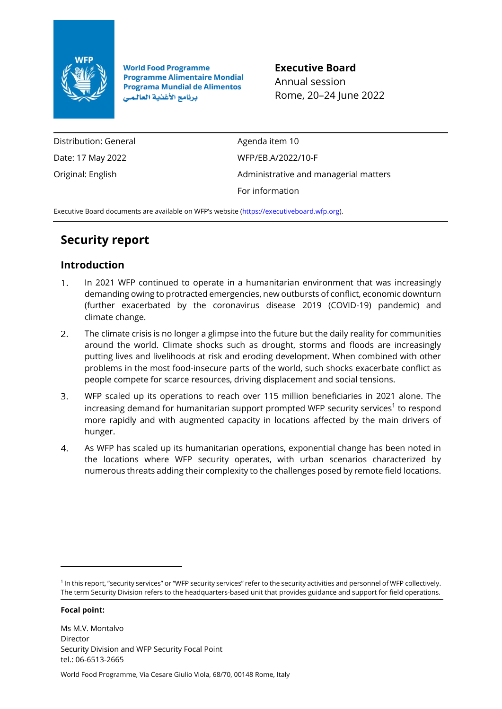

**World Food Programme Programme Alimentaire Mondial Programa Mundial de Alimentos** برنامج الأغذية العالمي

**Executive Board** Annual session Rome, 20–24 June 2022

Distribution: General Date: 17 May 2022 Original: English

Agenda item 10 WFP/EB.A/2022/10-F Administrative and managerial matters For information

Executive Board documents are available on WFP's website [\(https://executiveboard.wfp.org\)](https://executiveboard.wfp.org/).

# **Security report**

# **Introduction**

- $1<sup>1</sup>$ In 2021 WFP continued to operate in a humanitarian environment that was increasingly demanding owing to protracted emergencies, new outbursts of conflict, economic downturn (further exacerbated by the coronavirus disease 2019 (COVID-19) pandemic) and climate change.
- $2<sup>1</sup>$ The climate crisis is no longer a glimpse into the future but the daily reality for communities around the world. Climate shocks such as drought, storms and floods are increasingly putting lives and livelihoods at risk and eroding development. When combined with other problems in the most food-insecure parts of the world, such shocks exacerbate conflict as people compete for scarce resources, driving displacement and social tensions.
- $3<sup>1</sup>$ WFP scaled up its operations to reach over 115 million beneficiaries in 2021 alone. The increasing demand for humanitarian support prompted WFP security services $^1$  to respond more rapidly and with augmented capacity in locations affected by the main drivers of hunger.
- $\overline{4}$ As WFP has scaled up its humanitarian operations, exponential change has been noted in the locations where WFP security operates, with urban scenarios characterized by numerous threats adding their complexity to the challenges posed by remote field locations.

### **Focal point:**

<sup>&</sup>lt;sup>1</sup> In this report, "security services" or "WFP security services" refer to the security activities and personnel of WFP collectively. The term Security Division refers to the headquarters-based unit that provides guidance and support for field operations.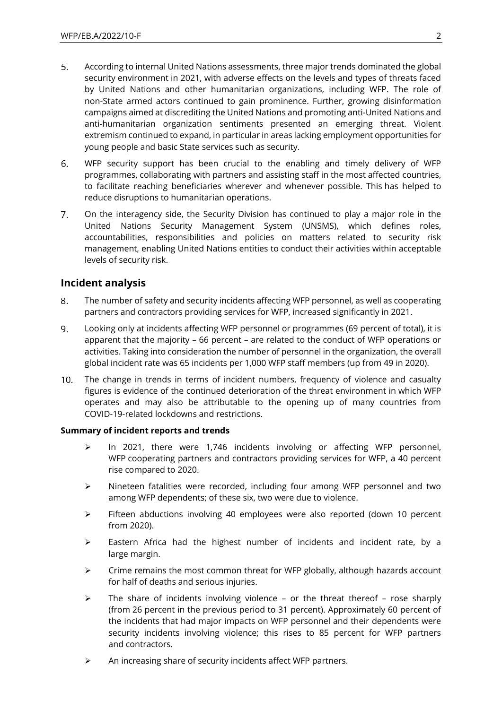- $5.$ According to internal United Nations assessments, three major trends dominated the global security environment in 2021, with adverse effects on the levels and types of threats faced by United Nations and other humanitarian organizations, including WFP. The role of non-State armed actors continued to gain prominence. Further, growing disinformation campaigns aimed at discrediting the United Nations and promoting anti-United Nations and anti-humanitarian organization sentiments presented an emerging threat. Violent extremism continued to expand, in particular in areas lacking employment opportunities for young people and basic State services such as security.
- $6.$ WFP security support has been crucial to the enabling and timely delivery of WFP programmes, collaborating with partners and assisting staff in the most affected countries, to facilitate reaching beneficiaries wherever and whenever possible. This has helped to reduce disruptions to humanitarian operations.
- $7<sup>1</sup>$ On the interagency side, the Security Division has continued to play a major role in the United Nations Security Management System (UNSMS), which defines roles, accountabilities, responsibilities and policies on matters related to security risk management, enabling United Nations entities to conduct their activities within acceptable levels of security risk.

# **Incident analysis**

- $8<sub>1</sub>$ The number of safety and security incidents affecting WFP personnel, as well as cooperating partners and contractors providing services for WFP, increased significantly in 2021.
- $\mathbf{q}_{\perp}$ Looking only at incidents affecting WFP personnel or programmes (69 percent of total), it is apparent that the majority – 66 percent – are related to the conduct of WFP operations or activities. Taking into consideration the number of personnel in the organization, the overall global incident rate was 65 incidents per 1,000 WFP staff members (up from 49 in 2020).
- $10.$ The change in trends in terms of incident numbers, frequency of violence and casualty figures is evidence of the continued deterioration of the threat environment in which WFP operates and may also be attributable to the opening up of many countries from COVID-19-related lockdowns and restrictions.

# **Summary of incident reports and trends**

- ➢ In 2021, there were 1,746 incidents involving or affecting WFP personnel, WFP cooperating partners and contractors providing services for WFP, a 40 percent rise compared to 2020.
- ➢ Nineteen fatalities were recorded, including four among WFP personnel and two among WFP dependents; of these six, two were due to violence.
- ➢ Fifteen abductions involving 40 employees were also reported (down 10 percent from 2020).
- $\triangleright$  Eastern Africa had the highest number of incidents and incident rate, by a large margin.
- $\triangleright$  Crime remains the most common threat for WFP globally, although hazards account for half of deaths and serious injuries.
- $\triangleright$  The share of incidents involving violence or the threat thereof rose sharply (from 26 percent in the previous period to 31 percent). Approximately 60 percent of the incidents that had major impacts on WFP personnel and their dependents were security incidents involving violence; this rises to 85 percent for WFP partners and contractors.
- ➢ An increasing share of security incidents affect WFP partners.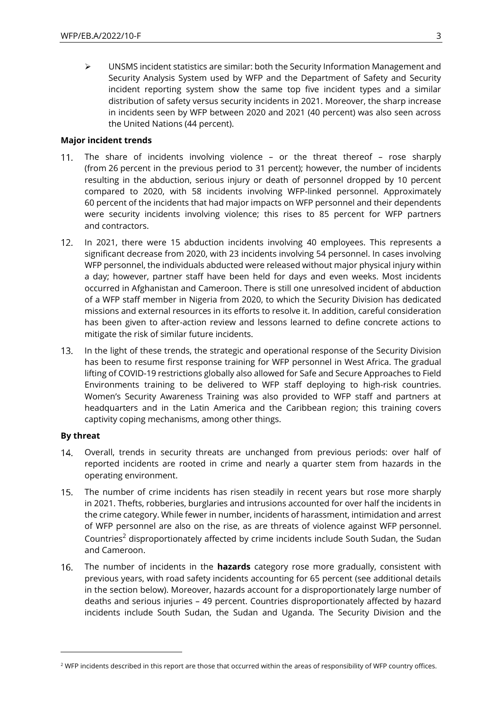$\triangleright$  UNSMS incident statistics are similar: both the Security Information Management and Security Analysis System used by WFP and the Department of Safety and Security incident reporting system show the same top five incident types and a similar distribution of safety versus security incidents in 2021. Moreover, the sharp increase in incidents seen by WFP between 2020 and 2021 (40 percent) was also seen across the United Nations (44 percent).

### **Major incident trends**

- $11.$ The share of incidents involving violence – or the threat thereof – rose sharply (from 26 percent in the previous period to 31 percent); however, the number of incidents resulting in the abduction, serious injury or death of personnel dropped by 10 percent compared to 2020, with 58 incidents involving WFP-linked personnel. Approximately 60 percent of the incidents that had major impacts on WFP personnel and their dependents were security incidents involving violence; this rises to 85 percent for WFP partners and contractors.
- $12.$ In 2021, there were 15 abduction incidents involving 40 employees. This represents a significant decrease from 2020, with 23 incidents involving 54 personnel. In cases involving WFP personnel, the individuals abducted were released without major physical injury within a day; however, partner staff have been held for days and even weeks. Most incidents occurred in Afghanistan and Cameroon. There is still one unresolved incident of abduction of a WFP staff member in Nigeria from 2020, to which the Security Division has dedicated missions and external resources in its efforts to resolve it. In addition, careful consideration has been given to after-action review and lessons learned to define concrete actions to mitigate the risk of similar future incidents.
- $13.$ In the light of these trends, the strategic and operational response of the Security Division has been to resume first response training for WFP personnel in West Africa. The gradual lifting of COVID-19 restrictions globally also allowed for Safe and Secure Approaches to Field Environments training to be delivered to WFP staff deploying to high-risk countries. Women's Security Awareness Training was also provided to WFP staff and partners at headquarters and in the Latin America and the Caribbean region; this training covers captivity coping mechanisms, among other things.

# **By threat**

- Overall, trends in security threats are unchanged from previous periods: over half of  $14.$ reported incidents are rooted in crime and nearly a quarter stem from hazards in the operating environment.
- The number of crime incidents has risen steadily in recent years but rose more sharply  $15.$ in 2021. Thefts, robberies, burglaries and intrusions accounted for over half the incidents in the crime category. While fewer in number, incidents of harassment, intimidation and arrest of WFP personnel are also on the rise, as are threats of violence against WFP personnel. Countries<sup>2</sup> disproportionately affected by crime incidents include South Sudan, the Sudan and Cameroon.
- $16.$ The number of incidents in the **hazards** category rose more gradually, consistent with previous years, with road safety incidents accounting for 65 percent (see additional details in the section below). Moreover, hazards account for a disproportionately large number of deaths and serious injuries – 49 percent. Countries disproportionately affected by hazard incidents include South Sudan, the Sudan and Uganda. The Security Division and the

<sup>&</sup>lt;sup>2</sup> WFP incidents described in this report are those that occurred within the areas of responsibility of WFP country offices.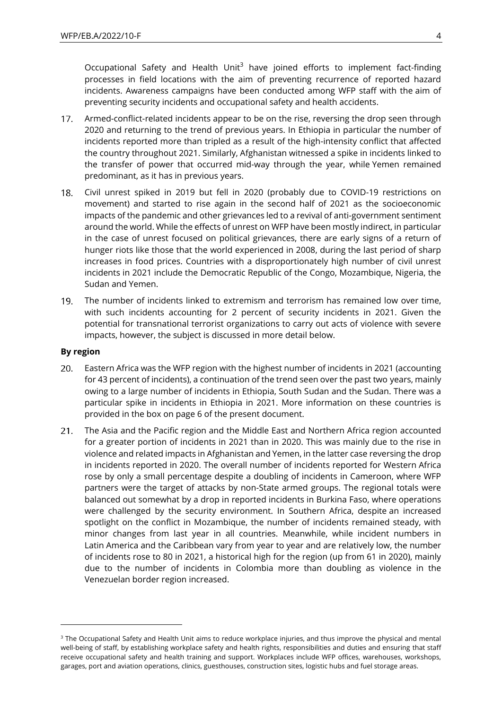Occupational Safety and Health Unit<sup>3</sup> have joined efforts to implement fact-finding processes in field locations with the aim of preventing recurrence of reported hazard incidents. Awareness campaigns have been conducted among WFP staff with the aim of preventing security incidents and occupational safety and health accidents.

- $17.$ Armed-conflict-related incidents appear to be on the rise, reversing the drop seen through 2020 and returning to the trend of previous years. In Ethiopia in particular the number of incidents reported more than tripled as a result of the high-intensity conflict that affected the country throughout 2021. Similarly, Afghanistan witnessed a spike in incidents linked to the transfer of power that occurred mid-way through the year, while Yemen remained predominant, as it has in previous years.
- $18.$ Civil unrest spiked in 2019 but fell in 2020 (probably due to COVID-19 restrictions on movement) and started to rise again in the second half of 2021 as the socioeconomic impacts of the pandemic and other grievances led to a revival of anti-government sentiment around the world. While the effects of unrest on WFP have been mostly indirect, in particular in the case of unrest focused on political grievances, there are early signs of a return of hunger riots like those that the world experienced in 2008, during the last period of sharp increases in food prices. Countries with a disproportionately high number of civil unrest incidents in 2021 include the Democratic Republic of the Congo, Mozambique, Nigeria, the Sudan and Yemen.
- $19.$ The number of incidents linked to extremism and terrorism has remained low over time, with such incidents accounting for 2 percent of security incidents in 2021. Given the potential for transnational terrorist organizations to carry out acts of violence with severe impacts, however, the subject is discussed in more detail below.

#### **By region**

- Eastern Africa was the WFP region with the highest number of incidents in 2021 (accounting 20. for 43 percent of incidents), a continuation of the trend seen over the past two years, mainly owing to a large number of incidents in Ethiopia, South Sudan and the Sudan. There was a particular spike in incidents in Ethiopia in 2021. More information on these countries is provided in the box on page 6 of the present document.
- $21.$ The Asia and the Pacific region and the Middle East and Northern Africa region accounted for a greater portion of incidents in 2021 than in 2020. This was mainly due to the rise in violence and related impacts in Afghanistan and Yemen, in the latter case reversing the drop in incidents reported in 2020. The overall number of incidents reported for Western Africa rose by only a small percentage despite a doubling of incidents in Cameroon, where WFP partners were the target of attacks by non-State armed groups. The regional totals were balanced out somewhat by a drop in reported incidents in Burkina Faso, where operations were challenged by the security environment. In Southern Africa, despite an increased spotlight on the conflict in Mozambique, the number of incidents remained steady, with minor changes from last year in all countries. Meanwhile, while incident numbers in Latin America and the Caribbean vary from year to year and are relatively low, the number of incidents rose to 80 in 2021, a historical high for the region (up from 61 in 2020), mainly due to the number of incidents in Colombia more than doubling as violence in the Venezuelan border region increased.

<sup>&</sup>lt;sup>3</sup> The Occupational Safety and Health Unit aims to reduce workplace injuries, and thus improve the physical and mental well-being of staff, by establishing workplace safety and health rights, responsibilities and duties and ensuring that staff receive occupational safety and health training and support. Workplaces include WFP offices, warehouses, workshops, garages, port and aviation operations, clinics, guesthouses, construction sites, logistic hubs and fuel storage areas.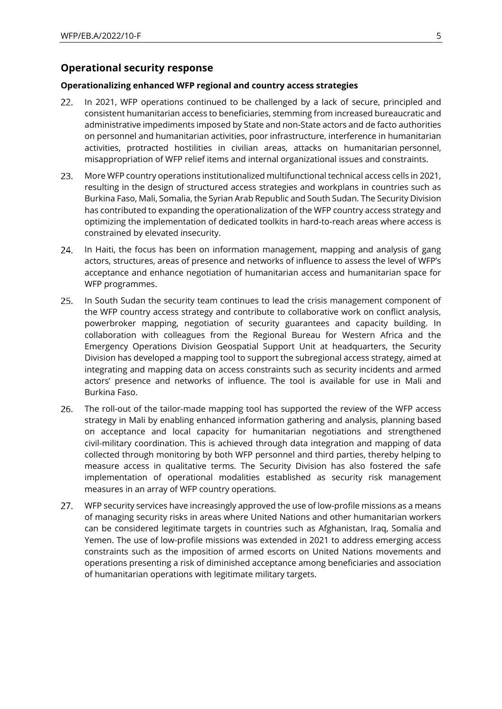# **Operational security response**

#### **Operationalizing enhanced WFP regional and country access strategies**

- $22.$ In 2021, WFP operations continued to be challenged by a lack of secure, principled and consistent humanitarian access to beneficiaries, stemming from increased bureaucratic and administrative impediments imposed by State and non-State actors and de facto authorities on personnel and humanitarian activities, poor infrastructure, interference in humanitarian activities, protracted hostilities in civilian areas, attacks on humanitarian personnel, misappropriation of WFP relief items and internal organizational issues and constraints.
- 23. More WFP country operations institutionalized multifunctional technical access cells in 2021, resulting in the design of structured access strategies and workplans in countries such as Burkina Faso, Mali, Somalia, the Syrian Arab Republic and South Sudan. The Security Division has contributed to expanding the operationalization of the WFP country access strategy and optimizing the implementation of dedicated toolkits in hard-to-reach areas where access is constrained by elevated insecurity.
- $24.$ In Haiti, the focus has been on information management, mapping and analysis of gang actors, structures, areas of presence and networks of influence to assess the level of WFP's acceptance and enhance negotiation of humanitarian access and humanitarian space for WFP programmes.
- $25.$ In South Sudan the security team continues to lead the crisis management component of the WFP country access strategy and contribute to collaborative work on conflict analysis, powerbroker mapping, negotiation of security guarantees and capacity building. In collaboration with colleagues from the Regional Bureau for Western Africa and the Emergency Operations Division Geospatial Support Unit at headquarters, the Security Division has developed a mapping tool to support the subregional access strategy, aimed at integrating and mapping data on access constraints such as security incidents and armed actors' presence and networks of influence. The tool is available for use in Mali and Burkina Faso.
- 26. The roll-out of the tailor-made mapping tool has supported the review of the WFP access strategy in Mali by enabling enhanced information gathering and analysis, planning based on acceptance and local capacity for humanitarian negotiations and strengthened civil-military coordination. This is achieved through data integration and mapping of data collected through monitoring by both WFP personnel and third parties, thereby helping to measure access in qualitative terms. The Security Division has also fostered the safe implementation of operational modalities established as security risk management measures in an array of WFP country operations.
- $27.$ WFP security services have increasingly approved the use of low-profile missions as a means of managing security risks in areas where United Nations and other humanitarian workers can be considered legitimate targets in countries such as Afghanistan, Iraq, Somalia and Yemen. The use of low-profile missions was extended in 2021 to address emerging access constraints such as the imposition of armed escorts on United Nations movements and operations presenting a risk of diminished acceptance among beneficiaries and association of humanitarian operations with legitimate military targets.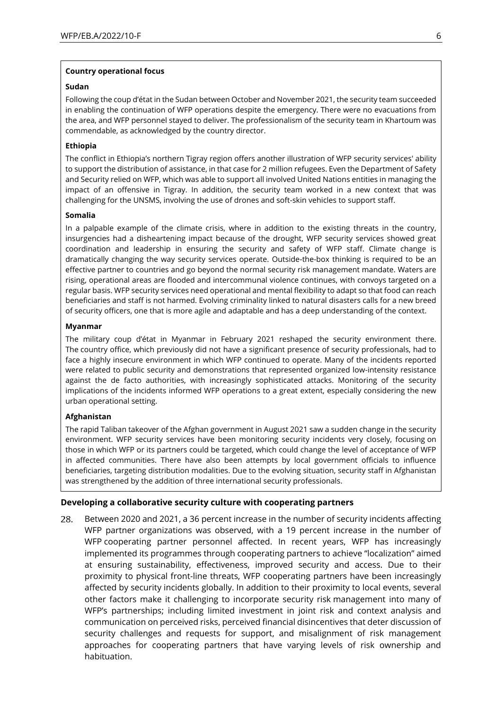#### **Country operational focus**

#### **Sudan**

Following the coup d'état in the Sudan between October and November 2021, the security team succeeded in enabling the continuation of WFP operations despite the emergency. There were no evacuations from the area, and WFP personnel stayed to deliver. The professionalism of the security team in Khartoum was commendable, as acknowledged by the country director.

#### **Ethiopia**

The conflict in Ethiopia's northern Tigray region offers another illustration of WFP security services' ability to support the distribution of assistance, in that case for 2 million refugees. Even the Department of Safety and Security relied on WFP, which was able to support all involved United Nations entities in managing the impact of an offensive in Tigray. In addition, the security team worked in a new context that was challenging for the UNSMS, involving the use of drones and soft-skin vehicles to support staff.

#### **Somalia**

In a palpable example of the climate crisis, where in addition to the existing threats in the country, insurgencies had a disheartening impact because of the drought, WFP security services showed great coordination and leadership in ensuring the security and safety of WFP staff. Climate change is dramatically changing the way security services operate. Outside-the-box thinking is required to be an effective partner to countries and go beyond the normal security risk management mandate. Waters are rising, operational areas are flooded and intercommunal violence continues, with convoys targeted on a regular basis. WFP security services need operational and mental flexibility to adapt so that food can reach beneficiaries and staff is not harmed. Evolving criminality linked to natural disasters calls for a new breed of security officers, one that is more agile and adaptable and has a deep understanding of the context.

#### **Myanmar**

The military coup d'état in Myanmar in February 2021 reshaped the security environment there. The country office, which previously did not have a significant presence of security professionals, had to face a highly insecure environment in which WFP continued to operate. Many of the incidents reported were related to public security and demonstrations that represented organized low-intensity resistance against the de facto authorities, with increasingly sophisticated attacks. Monitoring of the security implications of the incidents informed WFP operations to a great extent, especially considering the new urban operational setting.

#### **Afghanistan**

The rapid Taliban takeover of the Afghan government in August 2021 saw a sudden change in the security environment. WFP security services have been monitoring security incidents very closely, focusing on those in which WFP or its partners could be targeted, which could change the level of acceptance of WFP in affected communities. There have also been attempts by local government officials to influence beneficiaries, targeting distribution modalities. Due to the evolving situation, security staff in Afghanistan was strengthened by the addition of three international security professionals.

#### **Developing a collaborative security culture with cooperating partners**

28. Between 2020 and 2021, a 36 percent increase in the number of security incidents affecting WFP partner organizations was observed, with a 19 percent increase in the number of WFP cooperating partner personnel affected. In recent years, WFP has increasingly implemented its programmes through cooperating partners to achieve "localization" aimed at ensuring sustainability, effectiveness, improved security and access. Due to their proximity to physical front-line threats, WFP cooperating partners have been increasingly affected by security incidents globally. In addition to their proximity to local events, several other factors make it challenging to incorporate security risk management into many of WFP's partnerships; including limited investment in joint risk and context analysis and communication on perceived risks, perceived financial disincentives that deter discussion of security challenges and requests for support, and misalignment of risk management approaches for cooperating partners that have varying levels of risk ownership and habituation.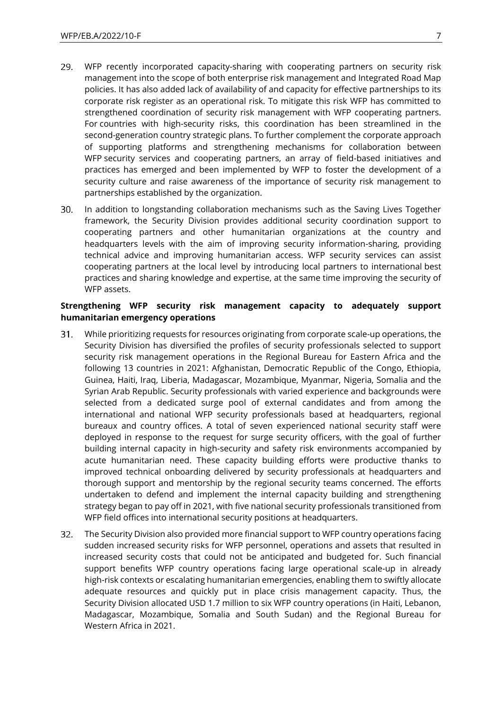- 29. WFP recently incorporated capacity-sharing with cooperating partners on security risk management into the scope of both enterprise risk management and Integrated Road Map policies. It has also added lack of availability of and capacity for effective partnerships to its corporate risk register as an operational risk. To mitigate this risk WFP has committed to strengthened coordination of security risk management with WFP cooperating partners. For countries with high-security risks, this coordination has been streamlined in the second-generation country strategic plans. To further complement the corporate approach of supporting platforms and strengthening mechanisms for collaboration between WFP security services and cooperating partners, an array of field-based initiatives and practices has emerged and been implemented by WFP to foster the development of a security culture and raise awareness of the importance of security risk management to partnerships established by the organization.
- 30. In addition to longstanding collaboration mechanisms such as the Saving Lives Together framework, the Security Division provides additional security coordination support to cooperating partners and other humanitarian organizations at the country and headquarters levels with the aim of improving security information-sharing, providing technical advice and improving humanitarian access. WFP security services can assist cooperating partners at the local level by introducing local partners to international best practices and sharing knowledge and expertise, at the same time improving the security of WFP assets.

### **Strengthening WFP security risk management capacity to adequately support humanitarian emergency operations**

- While prioritizing requests for resources originating from corporate scale-up operations, the  $31$ Security Division has diversified the profiles of security professionals selected to support security risk management operations in the Regional Bureau for Eastern Africa and the following 13 countries in 2021: Afghanistan, Democratic Republic of the Congo, Ethiopia, Guinea, Haiti, Iraq, Liberia, Madagascar, Mozambique, Myanmar, Nigeria, Somalia and the Syrian Arab Republic. Security professionals with varied experience and backgrounds were selected from a dedicated surge pool of external candidates and from among the international and national WFP security professionals based at headquarters, regional bureaux and country offices. A total of seven experienced national security staff were deployed in response to the request for surge security officers, with the goal of further building internal capacity in high-security and safety risk environments accompanied by acute humanitarian need. These capacity building efforts were productive thanks to improved technical onboarding delivered by security professionals at headquarters and thorough support and mentorship by the regional security teams concerned. The efforts undertaken to defend and implement the internal capacity building and strengthening strategy began to pay off in 2021, with five national security professionals transitioned from WFP field offices into international security positions at headquarters.
- $32.$ The Security Division also provided more financial support to WFP country operations facing sudden increased security risks for WFP personnel, operations and assets that resulted in increased security costs that could not be anticipated and budgeted for. Such financial support benefits WFP country operations facing large operational scale-up in already high-risk contexts or escalating humanitarian emergencies, enabling them to swiftly allocate adequate resources and quickly put in place crisis management capacity. Thus, the Security Division allocated USD 1.7 million to six WFP country operations (in Haiti, Lebanon, Madagascar, Mozambique, Somalia and South Sudan) and the Regional Bureau for Western Africa in 2021.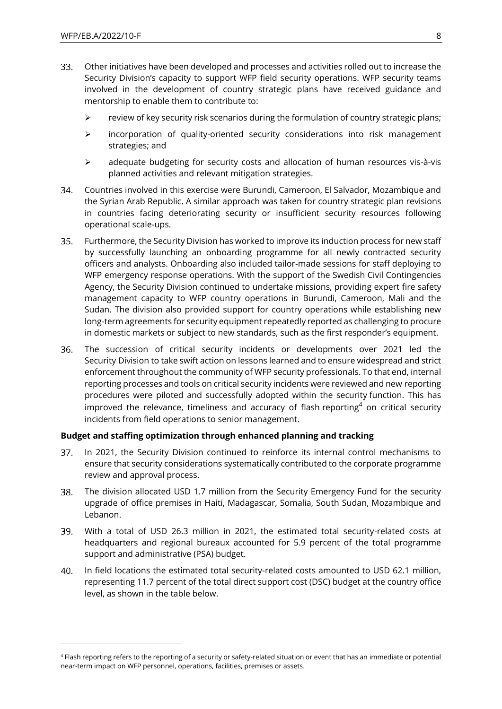- 33. Other initiatives have been developed and processes and activities rolled out to increase the Security Division's capacity to support WFP field security operations. WFP security teams involved in the development of country strategic plans have received guidance and mentorship to enable them to contribute to:
	- $\triangleright$  review of key security risk scenarios during the formulation of country strategic plans;
	- $\triangleright$  incorporation of quality-oriented security considerations into risk management strategies; and
	- $\geq$  adequate budgeting for security costs and allocation of human resources vis-à-vis planned activities and relevant mitigation strategies.
- 34. Countries involved in this exercise were Burundi, Cameroon, El Salvador, Mozambique and the Syrian Arab Republic. A similar approach was taken for country strategic plan revisions in countries facing deteriorating security or insufficient security resources following operational scale-ups.
- Furthermore, the Security Division has worked to improve its induction process for new staff  $35.$ by successfully launching an onboarding programme for all newly contracted security officers and analysts. Onboarding also included tailor-made sessions for staff deploying to WFP emergency response operations. With the support of the Swedish Civil Contingencies Agency, the Security Division continued to undertake missions, providing expert fire safety management capacity to WFP country operations in Burundi, Cameroon, Mali and the Sudan. The division also provided support for country operations while establishing new long-term agreements for security equipment repeatedly reported as challenging to procure in domestic markets or subject to new standards, such as the first responder's equipment.
- 36. The succession of critical security incidents or developments over 2021 led the Security Division to take swift action on lessons learned and to ensure widespread and strict enforcement throughout the community of WFP security professionals. To that end, internal reporting processes and tools on critical security incidents were reviewed and new reporting procedures were piloted and successfully adopted within the security function. This has improved the relevance, timeliness and accuracy of flash reporting<sup>4</sup> on critical security incidents from field operations to senior management.

# **Budget and staffing optimization through enhanced planning and tracking**

- In 2021, the Security Division continued to reinforce its internal control mechanisms to  $37<sub>1</sub>$ ensure that security considerations systematically contributed to the corporate programme review and approval process.
- 38. The division allocated USD 1.7 million from the Security Emergency Fund for the security upgrade of office premises in Haiti, Madagascar, Somalia, South Sudan, Mozambique and Lebanon.
- 39. With a total of USD 26.3 million in 2021, the estimated total security-related costs at headquarters and regional bureaux accounted for 5.9 percent of the total programme support and administrative (PSA) budget.
- $40.$ In field locations the estimated total security-related costs amounted to USD 62.1 million, representing 11.7 percent of the total direct support cost (DSC) budget at the country office level, as shown in the table below.

<sup>4</sup> Flash reporting refers to the reporting of a security or safety-related situation or event that has an immediate or potential near-term impact on WFP personnel, operations, facilities, premises or assets.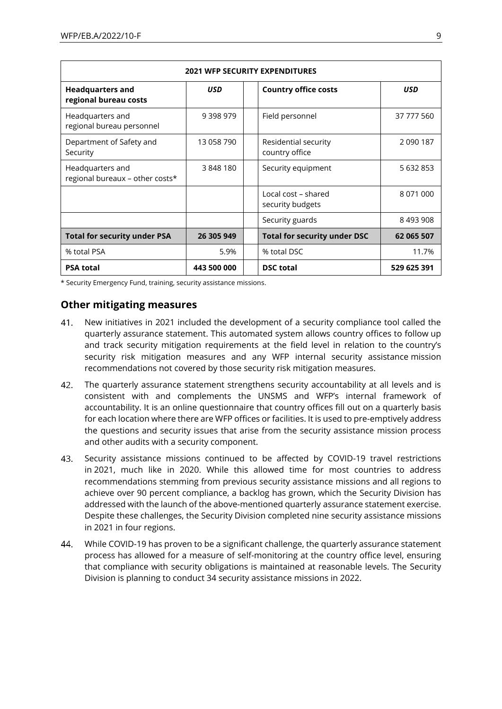| <b>2021 WFP SECURITY EXPENDITURES</b>               |               |  |                                         |               |
|-----------------------------------------------------|---------------|--|-----------------------------------------|---------------|
| <b>Headquarters and</b><br>regional bureau costs    | <b>USD</b>    |  | <b>Country office costs</b>             | <b>USD</b>    |
| Headquarters and<br>regional bureau personnel       | 9 3 9 8 9 7 9 |  | Field personnel                         | 37 777 560    |
| Department of Safety and<br>Security                | 13 058 790    |  | Residential security<br>country office  | 2 0 9 0 1 8 7 |
| Headquarters and<br>regional bureaux - other costs* | 3848180       |  | Security equipment                      | 5 632 853     |
|                                                     |               |  | Local cost - shared<br>security budgets | 8 071 000     |
|                                                     |               |  | Security guards                         | 8493908       |
| <b>Total for security under PSA</b>                 | 26 305 949    |  | <b>Total for security under DSC</b>     | 62 065 507    |
| % total PSA                                         | 5.9%          |  | % total DSC                             | 11.7%         |
| <b>PSA total</b>                                    | 443 500 000   |  | <b>DSC</b> total                        | 529 625 391   |

\* Security Emergency Fund, training, security assistance missions.

# **Other mitigating measures**

- $41<sub>1</sub>$ New initiatives in 2021 included the development of a security compliance tool called the quarterly assurance statement. This automated system allows country offices to follow up and track security mitigation requirements at the field level in relation to the country's security risk mitigation measures and any WFP internal security assistance mission recommendations not covered by those security risk mitigation measures.
- $42.$ The quarterly assurance statement strengthens security accountability at all levels and is consistent with and complements the UNSMS and WFP's internal framework of accountability. It is an online questionnaire that country offices fill out on a quarterly basis for each location where there are WFP offices or facilities. It is used to pre-emptively address the questions and security issues that arise from the security assistance mission process and other audits with a security component.
- $43.$ Security assistance missions continued to be affected by COVID-19 travel restrictions in 2021, much like in 2020. While this allowed time for most countries to address recommendations stemming from previous security assistance missions and all regions to achieve over 90 percent compliance, a backlog has grown, which the Security Division has addressed with the launch of the above-mentioned quarterly assurance statement exercise. Despite these challenges, the Security Division completed nine security assistance missions in 2021 in four regions.
- While COVID-19 has proven to be a significant challenge, the quarterly assurance statement 44. process has allowed for a measure of self-monitoring at the country office level, ensuring that compliance with security obligations is maintained at reasonable levels. The Security Division is planning to conduct 34 security assistance missions in 2022.